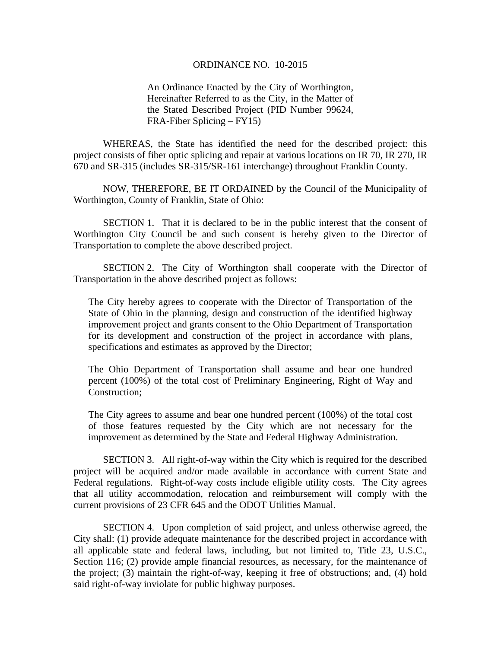## ORDINANCE NO. 10-2015

An Ordinance Enacted by the City of Worthington, Hereinafter Referred to as the City, in the Matter of the Stated Described Project (PID Number 99624, FRA-Fiber Splicing – FY15)

WHEREAS, the State has identified the need for the described project: this project consists of fiber optic splicing and repair at various locations on IR 70, IR 270, IR 670 and SR-315 (includes SR-315/SR-161 interchange) throughout Franklin County.

NOW, THEREFORE, BE IT ORDAINED by the Council of the Municipality of Worthington, County of Franklin, State of Ohio:

SECTION 1. That it is declared to be in the public interest that the consent of Worthington City Council be and such consent is hereby given to the Director of Transportation to complete the above described project.

 SECTION 2. The City of Worthington shall cooperate with the Director of Transportation in the above described project as follows:

The City hereby agrees to cooperate with the Director of Transportation of the State of Ohio in the planning, design and construction of the identified highway improvement project and grants consent to the Ohio Department of Transportation for its development and construction of the project in accordance with plans, specifications and estimates as approved by the Director;

The Ohio Department of Transportation shall assume and bear one hundred percent (100%) of the total cost of Preliminary Engineering, Right of Way and Construction;

The City agrees to assume and bear one hundred percent (100%) of the total cost of those features requested by the City which are not necessary for the improvement as determined by the State and Federal Highway Administration.

 SECTION 3. All right-of-way within the City which is required for the described project will be acquired and/or made available in accordance with current State and Federal regulations. Right-of-way costs include eligible utility costs. The City agrees that all utility accommodation, relocation and reimbursement will comply with the current provisions of 23 CFR 645 and the ODOT Utilities Manual.

 SECTION 4. Upon completion of said project, and unless otherwise agreed, the City shall: (1) provide adequate maintenance for the described project in accordance with all applicable state and federal laws, including, but not limited to, Title 23, U.S.C., Section 116; (2) provide ample financial resources, as necessary, for the maintenance of the project; (3) maintain the right-of-way, keeping it free of obstructions; and, (4) hold said right-of-way inviolate for public highway purposes.